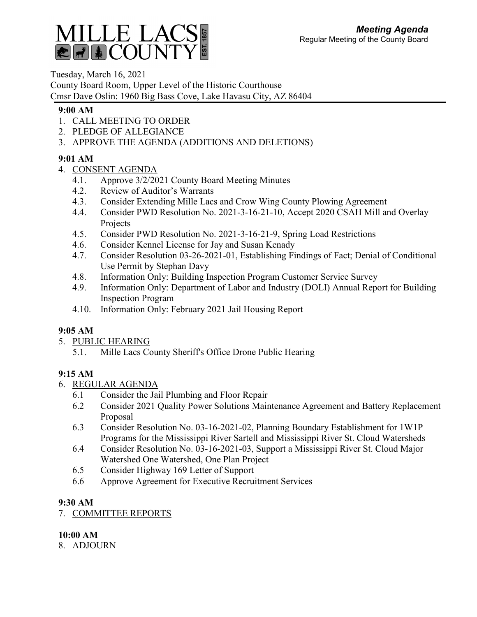

Tuesday, March 16, 2021 County Board Room, Upper Level of the Historic Courthouse Cmsr Dave Oslin: 1960 Big Bass Cove, Lake Havasu City, AZ 86404

## **9:00 AM**

- 1. CALL MEETING TO ORDER
- 2. PLEDGE OF ALLEGIANCE
- 3. APPROVE THE AGENDA (ADDITIONS AND DELETIONS)

# **9:01 AM**

- 4. CONSENT AGENDA
	- 4.1. Approve 3/2/2021 County Board Meeting Minutes
	- 4.2. Review of Auditor's Warrants
	- 4.3. Consider Extending Mille Lacs and Crow Wing County Plowing Agreement
	- 4.4. Consider PWD Resolution No. 2021-3-16-21-10, Accept 2020 CSAH Mill and Overlay Projects
	- 4.5. Consider PWD Resolution No. 2021-3-16-21-9, Spring Load Restrictions
	- 4.6. Consider Kennel License for Jay and Susan Kenady
	- 4.7. Consider Resolution 03-26-2021-01, Establishing Findings of Fact; Denial of Conditional Use Permit by Stephan Davy
	- 4.8. Information Only: Building Inspection Program Customer Service Survey
	- 4.9. Information Only: Department of Labor and Industry (DOLI) Annual Report for Building Inspection Program
	- 4.10. Information Only: February 2021 Jail Housing Report

# **9:05 AM**

- 5. PUBLIC HEARING
	- 5.1. Mille Lacs County Sheriff's Office Drone Public Hearing

# **9:15 AM**

- 6. REGULAR AGENDA
	- 6.1 Consider the Jail Plumbing and Floor Repair
	- 6.2 Consider 2021 Quality Power Solutions Maintenance Agreement and Battery Replacement Proposal
	- 6.3 Consider Resolution No. 03-16-2021-02, Planning Boundary Establishment for 1W1P Programs for the Mississippi River Sartell and Mississippi River St. Cloud Watersheds
	- 6.4 Consider Resolution No. 03-16-2021-03, Support a Mississippi River St. Cloud Major Watershed One Watershed, One Plan Project
	- 6.5 Consider Highway 169 Letter of Support
	- 6.6 Approve Agreement for Executive Recruitment Services

# **9:30 AM**

7. COMMITTEE REPORTS

# **10:00 AM**

8. ADJOURN